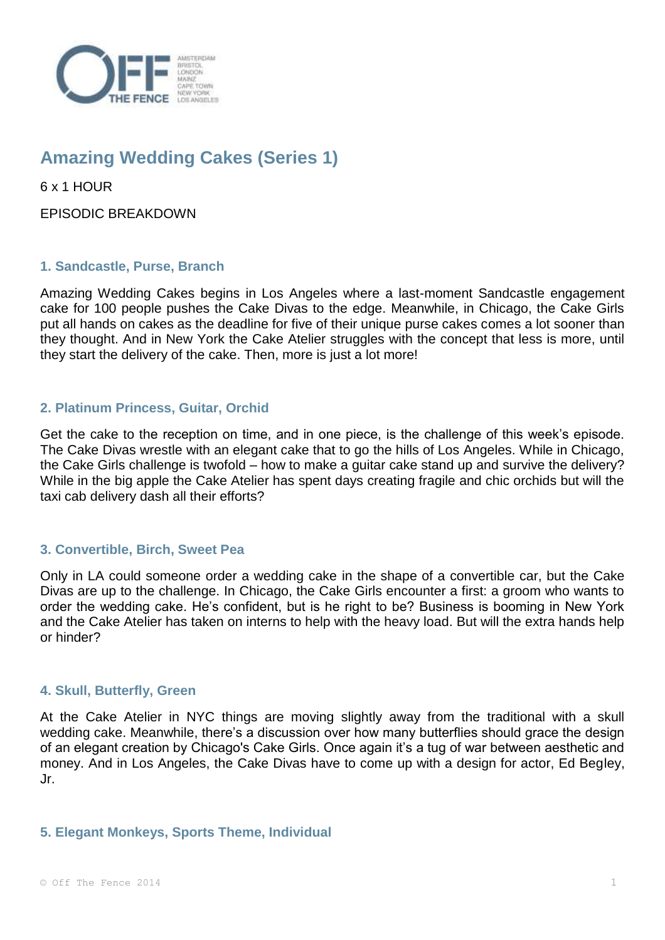

# **Amazing Wedding Cakes (Series 1)**

6 x 1 HOUR

EPISODIC BREAKDOWN

## **1. Sandcastle, Purse, Branch**

Amazing Wedding Cakes begins in Los Angeles where a last-moment Sandcastle engagement cake for 100 people pushes the Cake Divas to the edge. Meanwhile, in Chicago, the Cake Girls put all hands on cakes as the deadline for five of their unique purse cakes comes a lot sooner than they thought. And in New York the Cake Atelier struggles with the concept that less is more, until they start the delivery of the cake. Then, more is just a lot more!

## **2. Platinum Princess, Guitar, Orchid**

Get the cake to the reception on time, and in one piece, is the challenge of this week's episode. The Cake Divas wrestle with an elegant cake that to go the hills of Los Angeles. While in Chicago, the Cake Girls challenge is twofold – how to make a guitar cake stand up and survive the delivery? While in the big apple the Cake Atelier has spent days creating fragile and chic orchids but will the taxi cab delivery dash all their efforts?

#### **3. Convertible, Birch, Sweet Pea**

Only in LA could someone order a wedding cake in the shape of a convertible car, but the Cake Divas are up to the challenge. In Chicago, the Cake Girls encounter a first: a groom who wants to order the wedding cake. He's confident, but is he right to be? Business is booming in New York and the Cake Atelier has taken on interns to help with the heavy load. But will the extra hands help or hinder?

#### **4. Skull, Butterfly, Green**

At the Cake Atelier in NYC things are moving slightly away from the traditional with a skull wedding cake. Meanwhile, there's a discussion over how many butterflies should grace the design of an elegant creation by Chicago's Cake Girls. Once again it's a tug of war between aesthetic and money. And in Los Angeles, the Cake Divas have to come up with a design for actor, Ed Begley, Jr.

#### **5. Elegant Monkeys, Sports Theme, Individual**